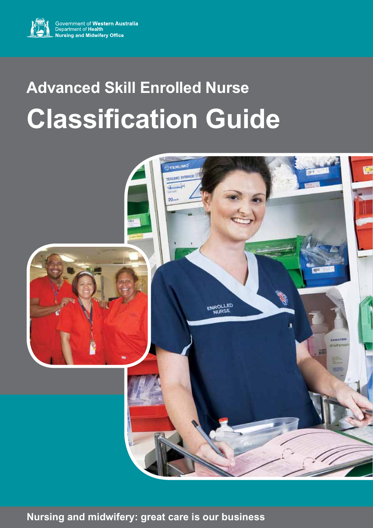

# **Advanced Skill Enrolled Nurse Classification Guide**



**Nursing and midwifery: great care is our business**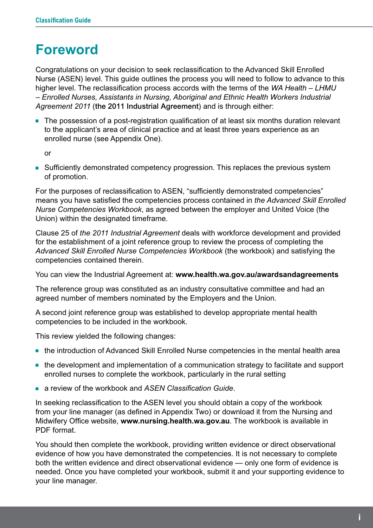### **Foreword**

Congratulations on your decision to seek reclassification to the Advanced Skill Enrolled Nurse (ASEN) level. This guide outlines the process you will need to follow to advance to this higher level. The reclassification process accords with the terms of the *WA Health – LHMU – Enrolled Nurses, Assistants in Nursing, Aboriginal and Ethnic Health Workers Industrial Agreement 2011* (the 2011 Industrial Agreement) and is through either:

• The possession of a post-registration qualification of at least six months duration relevant to the applicant's area of clinical practice and at least three years experience as an enrolled nurse (see Appendix One).

or

• Sufficiently demonstrated competency progression. This replaces the previous system of promotion.

For the purposes of reclassification to ASEN, "sufficiently demonstrated competencies" means you have satisfied the competencies process contained in *the Advanced Skill Enrolled Nurse Competencies Workbook*, as agreed between the employer and United Voice (the Union) within the designated timeframe.

Clause 25 of *the 2011 Industrial Agreement* deals with workforce development and provided for the establishment of a joint reference group to review the process of completing the *Advanced Skill Enrolled Nurse Competencies Workbook* (the workbook) and satisfying the competencies contained therein.

You can view the Industrial Agreement at: **www.health.wa.gov.au/awardsandagreements**

The reference group was constituted as an industry consultative committee and had an agreed number of members nominated by the Employers and the Union.

A second joint reference group was established to develop appropriate mental health competencies to be included in the workbook.

This review yielded the following changes:

- the introduction of Advanced Skill Enrolled Nurse competencies in the mental health area
- the development and implementation of a communication strategy to facilitate and support enrolled nurses to complete the workbook, particularly in the rural setting
- \* a review of the workbook and *ASEN Classification Guide*.

In seeking reclassification to the ASEN level you should obtain a copy of the workbook from your line manager (as defined in Appendix Two) or download it from the Nursing and Midwifery Office website, **www.nursing.health.wa.gov.au**. The workbook is available in PDF format.

You should then complete the workbook, providing written evidence or direct observational evidence of how you have demonstrated the competencies. It is not necessary to complete both the written evidence and direct observational evidence — only one form of evidence is needed. Once you have completed your workbook, submit it and your supporting evidence to your line manager.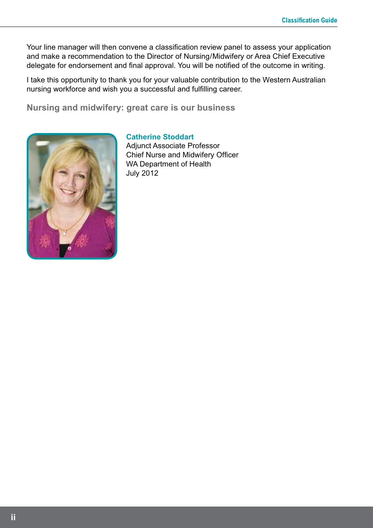Your line manager will then convene a classification review panel to assess your application and make a recommendation to the Director of Nursing/Midwifery or Area Chief Executive delegate for endorsement and final approval. You will be notified of the outcome in writing.

I take this opportunity to thank you for your valuable contribution to the Western Australian nursing workforce and wish you a successful and fulfilling career.

**Nursing and midwifery: great care is our business**



#### **Catherine Stoddart**

Adjunct Associate Professor Chief Nurse and Midwifery Officer WA Department of Health July 2012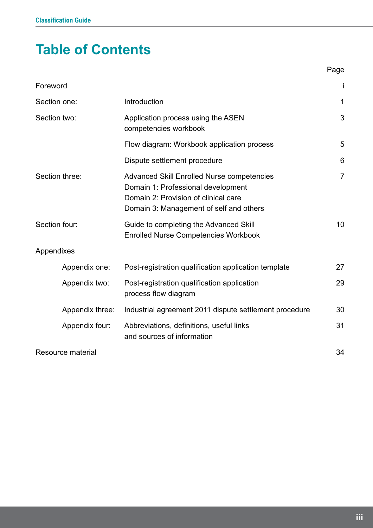# **Table of Contents**

| Foreword          |                                                                                                                                                                            | j              |
|-------------------|----------------------------------------------------------------------------------------------------------------------------------------------------------------------------|----------------|
| Section one:      | Introduction                                                                                                                                                               | 1              |
| Section two:      | Application process using the ASEN<br>competencies workbook                                                                                                                | 3              |
|                   | Flow diagram: Workbook application process                                                                                                                                 | 5              |
|                   | Dispute settlement procedure                                                                                                                                               | 6              |
| Section three:    | <b>Advanced Skill Enrolled Nurse competencies</b><br>Domain 1: Professional development<br>Domain 2: Provision of clinical care<br>Domain 3: Management of self and others | $\overline{7}$ |
| Section four:     | Guide to completing the Advanced Skill<br><b>Enrolled Nurse Competencies Workbook</b>                                                                                      | 10             |
| Appendixes        |                                                                                                                                                                            |                |
| Appendix one:     | Post-registration qualification application template                                                                                                                       | 27             |
| Appendix two:     | Post-registration qualification application<br>process flow diagram                                                                                                        | 29             |
| Appendix three:   | Industrial agreement 2011 dispute settlement procedure                                                                                                                     | 30             |
| Appendix four:    | Abbreviations, definitions, useful links<br>and sources of information                                                                                                     | 31             |
| Resource material |                                                                                                                                                                            | 34             |

e de la provincia de la provincia de la provincia de la provincia de la provincia de la provincia de la provin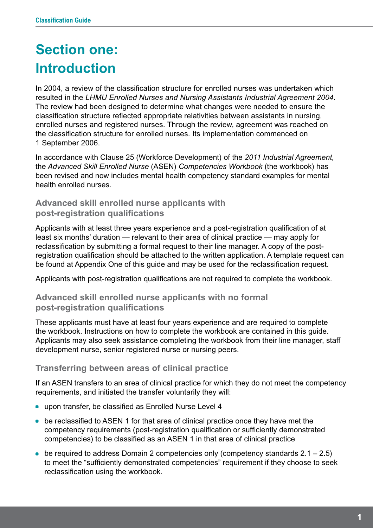# **Section one: Introduction**

In 2004, a review of the classification structure for enrolled nurses was undertaken which resulted in the *LHMU Enrolled Nurses and Nursing Assistants Industrial Agreement 2004*. The review had been designed to determine what changes were needed to ensure the classification structure reflected appropriate relativities between assistants in nursing, enrolled nurses and registered nurses. Through the review, agreement was reached on the classification structure for enrolled nurses. Its implementation commenced on 1 September 2006.

In accordance with Clause 25 (Workforce Development) of the *2011 Industrial Agreement,*  the *Advanced Skill Enrolled Nurse* (ASEN) *Competencies Workbook* (the workbook) has been revised and now includes mental health competency standard examples for mental health enrolled nurses.

#### **Advanced skill enrolled nurse applicants with post-registration qualifications**

Applicants with at least three years experience and a post-registration qualification of at least six months' duration — relevant to their area of clinical practice — may apply for reclassification by submitting a formal request to their line manager. A copy of the postregistration qualification should be attached to the written application. A template request can be found at Appendix One of this guide and may be used for the reclassification request.

Applicants with post-registration qualifications are not required to complete the workbook.

#### **Advanced skill enrolled nurse applicants with no formal post-registration qualifications**

These applicants must have at least four years experience and are required to complete the workbook. Instructions on how to complete the workbook are contained in this guide. Applicants may also seek assistance completing the workbook from their line manager, staff development nurse, senior registered nurse or nursing peers.

#### **Transferring between areas of clinical practice**

If an ASEN transfers to an area of clinical practice for which they do not meet the competency requirements, and initiated the transfer voluntarily they will:

- **.** upon transfer, be classified as Enrolled Nurse Level 4
- be reclassified to ASEN 1 for that area of clinical practice once they have met the competency requirements (post-registration qualification or sufficiently demonstrated competencies) to be classified as an ASEN 1 in that area of clinical practice
- be required to address Domain 2 competencies only (competency standards  $2.1 2.5$ ) to meet the "sufficiently demonstrated competencies" requirement if they choose to seek reclassification using the workbook.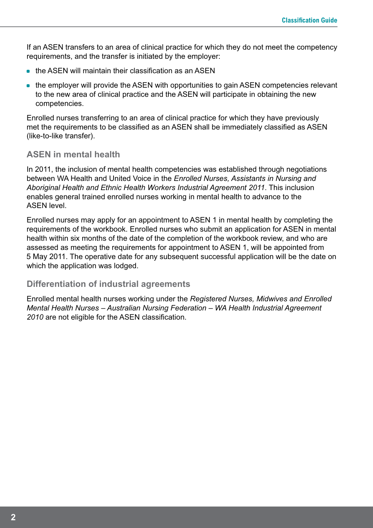If an ASEN transfers to an area of clinical practice for which they do not meet the competency requirements, and the transfer is initiated by the employer:

- $\bullet$  the ASEN will maintain their classification as an ASEN
- the employer will provide the ASEN with opportunities to gain ASEN competencies relevant to the new area of clinical practice and the ASEN will participate in obtaining the new competencies.

Enrolled nurses transferring to an area of clinical practice for which they have previously met the requirements to be classified as an ASEN shall be immediately classified as ASEN (like-to-like transfer).

#### **ASEN in mental health**

In 2011, the inclusion of mental health competencies was established through negotiations between WA Health and United Voice in the *Enrolled Nurses, Assistants in Nursing and Aboriginal Health and Ethnic Health Workers Industrial Agreement 2011*. This inclusion enables general trained enrolled nurses working in mental health to advance to the ASEN level.

Enrolled nurses may apply for an appointment to ASEN 1 in mental health by completing the requirements of the workbook. Enrolled nurses who submit an application for ASEN in mental health within six months of the date of the completion of the workbook review, and who are assessed as meeting the requirements for appointment to ASEN 1, will be appointed from 5 5 May 2011. The operative date for any subsequent successful application will be the date on which the application was lodged.

#### **Differentiation of industrial agreements**

Enrolled mental health nurses working under the *Registered Nurses, Midwives and Enrolled Mental Health Nurses – Australian Nursing Federation – WA Health Industrial Agreement 2010* are not eligible for the ASEN classification.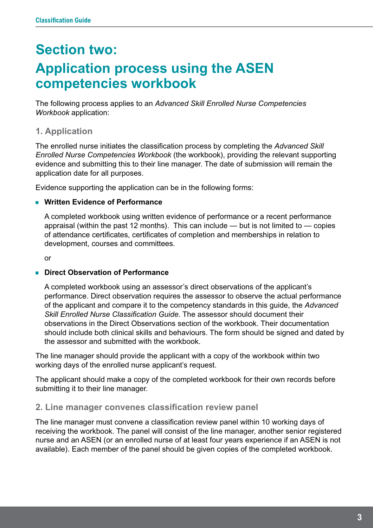# **Section two: Application process using the ASEN competencies workbook**

The following process applies to an *Advanced Skill Enrolled Nurse Competencies Workbook* application:

#### **1. Application**

The enrolled nurse initiates the classification process by completing the *Advanced Skill Enrolled Nurse Competencies Workbook* (the workbook), providing the relevant supporting evidence and submitting this to their line manager. The date of submission will remain the application date for all purposes.

Evidence supporting the application can be in the following forms:

#### **• Written Evidence of Performance**

A completed workbook using written evidence of performance or a recent performance appraisal (within the past 12 months). This can include  $-$  but is not limited to  $-$  copies of attendance certificates, certificates of completion and memberships in relation to development, courses and committees.

or

#### \* **Direct Observation of Performance**

A completed workbook using an assessor's direct observations of the applicant's performance. Direct observation requires the assessor to observe the actual performance of the applicant and compare it to the competency standards in this guide, the *Advanced Skill Enrolled Nurse Classification Guide*. The assessor should document their observations in the Direct Observations section of the workbook. Their documentation should include both clinical skills and behaviours. The form should be signed and dated by the assessor and submitted with the workbook.

The line manager should provide the applicant with a copy of the workbook within two working days of the enrolled nurse applicant's request.

The applicant should make a copy of the completed workbook for their own records before submitting it to their line manager.

#### **2. Line manager convenes classification review panel**

The line manager must convene a classification review panel within 10 working days of receiving the workbook. The panel will consist of the line manager, another senior registered nurse and an ASEN (or an enrolled nurse of at least four years experience if an ASEN is not available). Each member of the panel should be given copies of the completed workbook.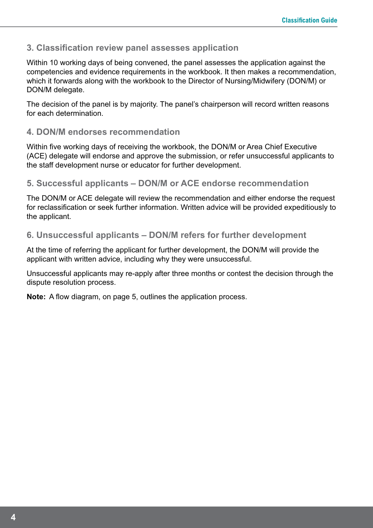#### **3. Classification review panel assesses application**

Within 10 working days of being convened, the panel assesses the application against the competencies and evidence requirements in the workbook. It then makes a recommendation, which it forwards along with the workbook to the Director of Nursing/Midwifery (DON/M) or DON/M delegate.

The decision of the panel is by majority. The panel's chairperson will record written reasons for each determination.

#### **4. DON/M endorses recommendation**

Within five working days of receiving the workbook, the DON/M or Area Chief Executive (ACE) delegate will endorse and approve the submission, or refer unsuccessful applicants to the staff development nurse or educator for further development.

#### **5. Successful applicants – DON/M or ACE endorse recommendation**

The DON/M or ACE delegate will review the recommendation and either endorse the request for reclassification or seek further information. Written advice will be provided expeditiously to the applicant.

#### **6. Unsuccessful applicants – DON/M refers for further development**

At the time of referring the applicant for further development, the DON/M will provide the applicant with written advice, including why they were unsuccessful.

Unsuccessful applicants may re-apply after three months or contest the decision through the dispute resolution process.

**Note:** A flow diagram, on page 5, outlines the application process.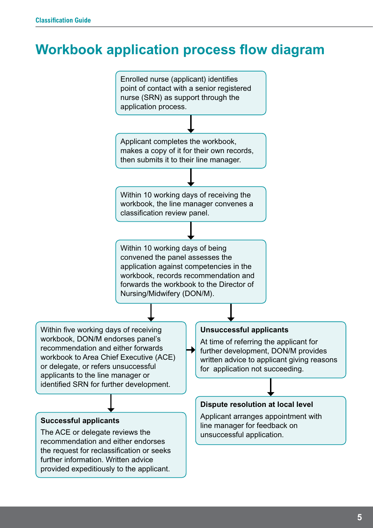# **Workbook application process flow diagram**

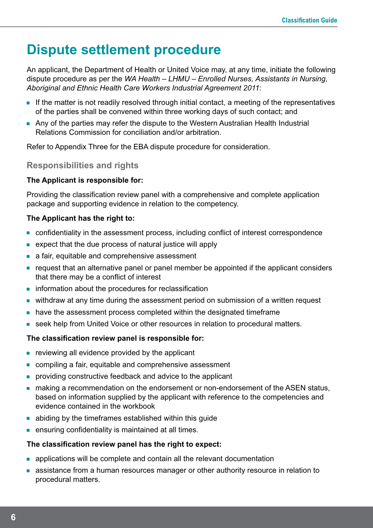# **Dispute settlement procedure**

An applicant, the Department of Health or United Voice may, at any time, initiate the following dispute procedure as per the *WA Health – LHMU – Enrolled Nurses, Assistants in Nursing, Aboriginal and Ethnic Health Care Workers Industrial Agreement 2011*:

- If the matter is not readily resolved through initial contact, a meeting of the representatives of the parties shall be convened within three working days of such contact; and
- Any of the parties may refer the dispute to the Western Australian Health Industrial Relations Commission for conciliation and/or arbitration.

Refer to Appendix Three for the EBA dispute procedure for consideration.

#### **Responsibilities and rights**

#### **The Applicant is responsible for:**

Providing the classification review panel with a comprehensive and complete application package and supporting evidence in relation to the competency.

#### **The Applicant has the right to:**

- confidentiality in the assessment process, including conflict of interest correspondence
- expect that the due process of natural justice will apply
- a fair, equitable and comprehensive assessment
- request that an alternative panel or panel member be appointed if the applicant considers that there may be a conflict of interest
- information about the procedures for reclassification
- withdraw at any time during the assessment period on submission of a written request
- have the assessment process completed within the designated timeframe
- seek help from United Voice or other resources in relation to procedural matters.

#### **The classification review panel is responsible for:**

- $\bullet$  reviewing all evidence provided by the applicant
- compiling a fair, equitable and comprehensive assessment
- providing constructive feedback and advice to the applicant
- making a recommendation on the endorsement or non-endorsement of the ASEN status, based on information supplied by the applicant with reference to the competencies and evidence contained in the workbook
- abiding by the timeframes established within this guide
- ensuring confidentiality is maintained at all times.

#### **The classification review panel has the right to expect:**

- applications will be complete and contain all the relevant documentation
- assistance from a human resources manager or other authority resource in relation to procedural matters.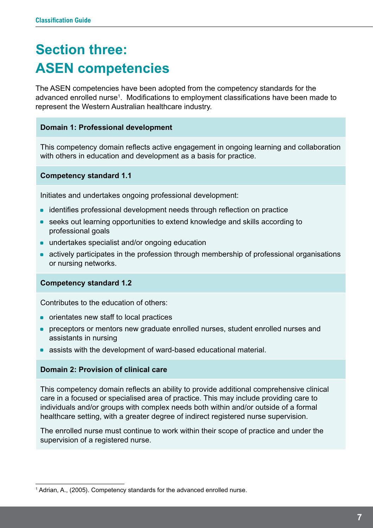# **Section three: ASEN competencies**

The ASEN competencies have been adopted from the competency standards for the advanced enrolled nurse<sup>1</sup>. Modifications to employment classifications have been made to represent the Western Australian healthcare industry.

#### **Domain 1: Professional development**

This competency domain reflects active engagement in ongoing learning and collaboration with others in education and development as a basis for practice.

**Competency standard 1.1**

Initiates and undertakes ongoing professional development:

- identifies professional development needs through reflection on practice
- seeks out learning opportunities to extend knowledge and skills according to professional goals
- undertakes specialist and/or ongoing education
- actively participates in the profession through membership of professional organisations or nursing networks.

#### **Competency standard 1.2**

Contributes to the education of others:

- orientates new staff to local practices
- **preceptors or mentors new graduate enrolled nurses, student enrolled nurses and** assistants in nursing
- assists with the development of ward-based educational material.

#### **Domain 2: Provision of clinical care**

This competency domain reflects an ability to provide additional comprehensive clinical care in a focused or specialised area of practice. This may include providing care to individuals and/or groups with complex needs both within and/or outside of a formal healthcare setting, with a greater degree of indirect registered nurse supervision.

The enrolled nurse must continue to work within their scope of practice and under the supervision of a registered nurse.

<sup>&</sup>lt;sup>1</sup> Adrian, A., (2005). Competency standards for the advanced enrolled nurse.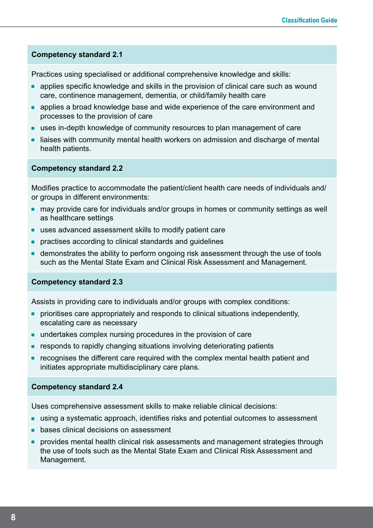#### **Competency standard 2.1**

Practices using specialised or additional comprehensive knowledge and skills:

- applies specific knowledge and skills in the provision of clinical care such as wound care, continence management, dementia, or child/family health care
- applies a broad knowledge base and wide experience of the care environment and processes to the provision of care
- uses in-depth knowledge of community resources to plan management of care
- liaises with community mental health workers on admission and discharge of mental health patients.

#### **Competency standard 2.2**

Modifies practice to accommodate the patient/client health care needs of individuals and/ or groups in different environments:

- may provide care for individuals and/or groups in homes or community settings as well as healthcare settings
- uses advanced assessment skills to modify patient care
- **•** practises according to clinical standards and guidelines
- demonstrates the ability to perform ongoing risk assessment through the use of tools such as the Mental State Exam and Clinical Risk Assessment and Management.

#### **Competency standard 2.3**

Assists in providing care to individuals and/or groups with complex conditions:

- prioritises care appropriately and responds to clinical situations independently, escalating care as necessary
- undertakes complex nursing procedures in the provision of care
- responds to rapidly changing situations involving deteriorating patients
- recognises the different care required with the complex mental health patient and initiates appropriate multidisciplinary care plans.

#### **Competency standard 2.4**

Uses comprehensive assessment skills to make reliable clinical decisions:

- using a systematic approach, identifies risks and potential outcomes to assessment
- **bases clinical decisions on assessment**
- **provides mental health clinical risk assessments and management strategies through** the use of tools such as the Mental State Exam and Clinical Risk Assessment and Management.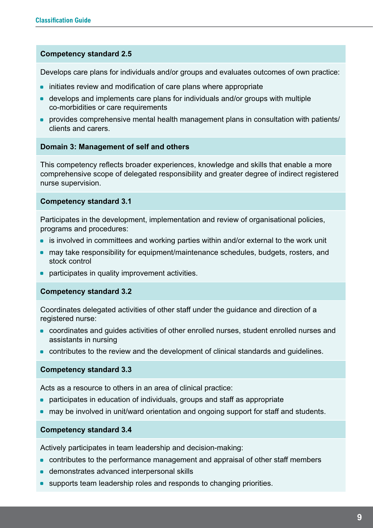#### **Competency standard 2.5**

Develops care plans for individuals and/or groups and evaluates outcomes of own practice:

- initiates review and modification of care plans where appropriate
- develops and implements care plans for individuals and/or groups with multiple co-morbidities or care requirements
- provides comprehensive mental health management plans in consultation with patients/ clients and carers.

#### **Domain 3: Management of self and others**

This competency reflects broader experiences, knowledge and skills that enable a more comprehensive scope of delegated responsibility and greater degree of indirect registered nurse supervision.

#### **Competency standard 3.1**

Participates in the development, implementation and review of organisational policies, programs and procedures:

- is involved in committees and working parties within and/or external to the work unit
- may take responsibility for equipment/maintenance schedules, budgets, rosters, and stock control
- participates in quality improvement activities.

#### **Competency standard 3.2**

Coordinates delegated activities of other staff under the guidance and direction of a registered nurse:

- coordinates and guides activities of other enrolled nurses, student enrolled nurses and assistants in nursing
- contributes to the review and the development of clinical standards and guidelines.

#### **Competency standard 3.3**

Acts as a resource to others in an area of clinical practice:

- participates in education of individuals, groups and staff as appropriate
- may be involved in unit/ward orientation and ongoing support for staff and students.

#### **Competency standard 3.4**

Actively participates in team leadership and decision-making:

- contributes to the performance management and appraisal of other staff members
- demonstrates advanced interpersonal skills
- supports team leadership roles and responds to changing priorities.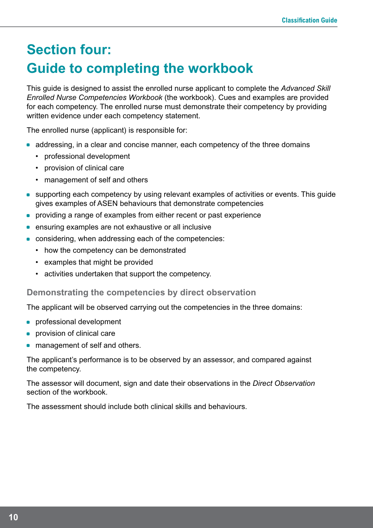# **Section four: Guide to completing the workbook**

This guide is designed to assist the enrolled nurse applicant to complete the *Advanced Skill Enrolled Nurse Competencies Workbook* (the workbook). Cues and examples are provided for each competency. The enrolled nurse must demonstrate their competency by providing written evidence under each competency statement.

The enrolled nurse (applicant) is responsible for:

- addressing, in a clear and concise manner, each competency of the three domains
	- • professional development
	- • provision of clinical care
	- management of self and others
- supporting each competency by using relevant examples of activities or events. This guide gives examples of ASEN behaviours that demonstrate competencies
- providing a range of examples from either recent or past experience
- ensuring examples are not exhaustive or all inclusive
- considering, when addressing each of the competencies:
	- how the competency can be demonstrated
	- • examples that might be provided
	- • activities undertaken that support the competency.

#### **Demonstrating the competencies by direct observation**

The applicant will be observed carrying out the competencies in the three domains:

- **•** professional development
- **•** provision of clinical care
- management of self and others.

The applicant's performance is to be observed by an assessor, and compared against the competency.

The assessor will document, sign and date their observations in the *Direct Observation* section of the workbook.

The assessment should include both clinical skills and behaviours.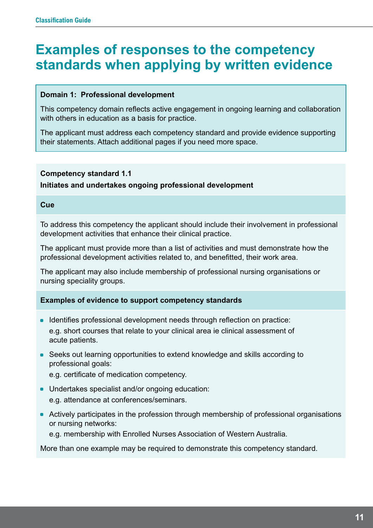### **Examples of responses to the competency standards when applying by written evidence**

#### **Domain 1: Professional development**

This competency domain reflects active engagement in ongoing learning and collaboration with others in education as a basis for practice.

The applicant must address each competency standard and provide evidence supporting their statements. Attach additional pages if you need more space.

#### **Competency standard 1.1**

**Initiates and undertakes ongoing professional development**

#### **Cue**

To address this competency the applicant should include their involvement in professional development activities that enhance their clinical practice.

The applicant must provide more than a list of activities and must demonstrate how the professional development activities related to, and benefitted, their work area.

The applicant may also include membership of professional nursing organisations or nursing speciality groups.

#### **Examples of evidence to support competency standards**

- Identifies professional development needs through reflection on practice: e.g. short courses that relate to your clinical area ie clinical assessment of acute patients.
- Seeks out learning opportunities to extend knowledge and skills according to professional goals:

e.g. certificate of medication competency.

- Undertakes specialist and/or ongoing education: e.g. attendance at conferences/seminars.
- Actively participates in the profession through membership of professional organisations or nursing networks:

e.g. membership with Enrolled Nurses Association of Western Australia.

More than one example may be required to demonstrate this competency standard.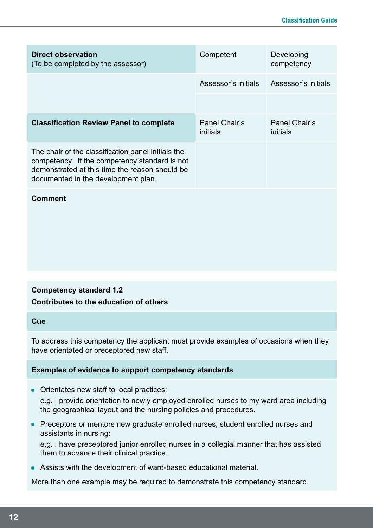| Direct observation<br>(To be completed by the assessor)                                                                                                                                      | Competent                 | Developing<br>competency  |
|----------------------------------------------------------------------------------------------------------------------------------------------------------------------------------------------|---------------------------|---------------------------|
|                                                                                                                                                                                              | Assessor's initials       | Assessor's initials       |
|                                                                                                                                                                                              |                           |                           |
| <b>Classification Review Panel to complete</b>                                                                                                                                               | Panel Chair's<br>initials | Panel Chair's<br>initials |
| The chair of the classification panel initials the<br>competency. If the competency standard is not<br>demonstrated at this time the reason should be<br>documented in the development plan. |                           |                           |

#### **Comment**

#### **Competency standard 1.2 Contributes to the education of others**

#### **Cue**

To address this competency the applicant must provide examples of occasions when they have orientated or preceptored new staff.

#### **Examples of evidence to support competency standards**

• Orientates new staff to local practices:

e.g. I provide orientation to newly employed enrolled nurses to my ward area including the geographical layout and the nursing policies and procedures.

**• Preceptors or mentors new graduate enrolled nurses, student enrolled nurses and** assistants in nursing:

e.g. I have preceptored junior enrolled nurses in a collegial manner that has assisted them to advance their clinical practice.

• Assists with the development of ward-based educational material.

More than one example may be required to demonstrate this competency standard.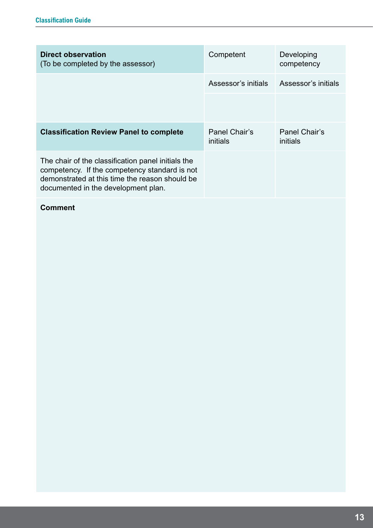| Direct observation<br>(To be completed by the assessor)                                                                                                                                      | Competent                 | Developing<br>competency  |
|----------------------------------------------------------------------------------------------------------------------------------------------------------------------------------------------|---------------------------|---------------------------|
|                                                                                                                                                                                              | Assessor's initials       | Assessor's initials       |
|                                                                                                                                                                                              |                           |                           |
| <b>Classification Review Panel to complete</b>                                                                                                                                               | Panel Chair's<br>initials | Panel Chair's<br>initials |
| The chair of the classification panel initials the<br>competency. If the competency standard is not<br>demonstrated at this time the reason should be<br>documented in the development plan. |                           |                           |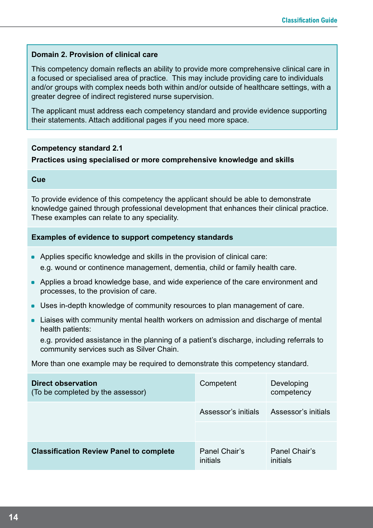#### **Domain 2. Provision of clinical care**

This competency domain reflects an ability to provide more comprehensive clinical care in a focused or specialised area of practice. This may include providing care to individuals and/or groups with complex needs both within and/or outside of healthcare settings, with a greater degree of indirect registered nurse supervision.

The applicant must address each competency standard and provide evidence supporting their statements. Attach additional pages if you need more space.

#### **Competency standard 2.1**

#### **Practices using specialised or more comprehensive knowledge and skills**

#### **Cue**

To provide evidence of this competency the applicant should be able to demonstrate knowledge gained through professional development that enhances their clinical practice. These examples can relate to any speciality.

#### **Examples of evidence to support competency standards**

- Applies specific knowledge and skills in the provision of clinical care: e.g. wound or continence management, dementia, child or family health care.
- Applies a broad knowledge base, and wide experience of the care environment and processes, to the provision of care.
- Uses in-depth knowledge of community resources to plan management of care.
- Liaises with community mental health workers on admission and discharge of mental health patients:

e.g. provided assistance in the planning of a patient's discharge, including referrals to community services such as Silver Chain.

More than one example may be required to demonstrate this competency standard.

| <b>Direct observation</b><br>(To be completed by the assessor) | Competent                 | Developing<br>competency  |
|----------------------------------------------------------------|---------------------------|---------------------------|
|                                                                | Assessor's initials       | Assessor's initials       |
|                                                                |                           |                           |
| <b>Classification Review Panel to complete</b>                 | Panel Chair's<br>initials | Panel Chair's<br>initials |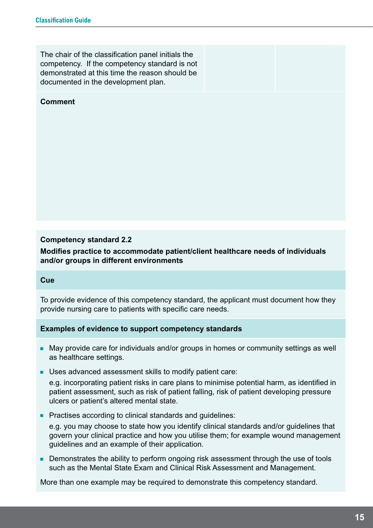The chair of the classification panel initials the competency. If the competency standard is not demonstrated at this time the reason should be documented in the development plan.

#### **Comment**

#### **Competency standard 2.2**

**Modifies practice to accommodate patient/client healthcare needs of individuals and/or groups in different environments**

#### **Cue**

To provide evidence of this competency standard, the applicant must document how they provide nursing care to patients with specific care needs.

#### **Examples of evidence to support competency standards**

- May provide care for individuals and/or groups in homes or community settings as well as healthcare settings.
- Uses advanced assessment skills to modify patient care:

e.g. incorporating patient risks in care plans to minimise potential harm, as identified in patient assessment, such as risk of patient falling, risk of patient developing pressure ulcers or patient's altered mental state.

• Practises according to clinical standards and quidelines:

e.g. you may choose to state how you identify clinical standards and/or guidelines that govern your clinical practice and how you utilise them; for example wound management guidelines and an example of their application.

• Demonstrates the ability to perform ongoing risk assessment through the use of tools such as the Mental State Exam and Clinical Risk Assessment and Management.

More than one example may be required to demonstrate this competency standard.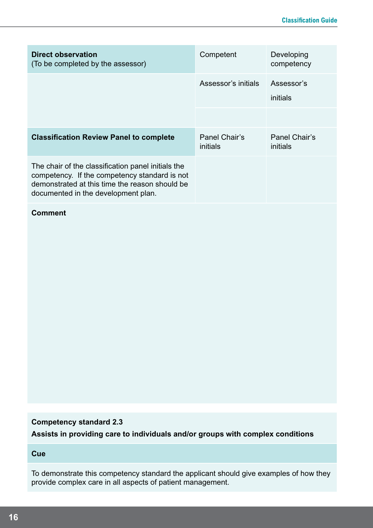| Direct observation<br>(To be completed by the assessor)                                                                                                                                      | Competent                 | Developing<br>competency  |
|----------------------------------------------------------------------------------------------------------------------------------------------------------------------------------------------|---------------------------|---------------------------|
|                                                                                                                                                                                              | Assessor's initials       | Assessor's<br>initials    |
|                                                                                                                                                                                              |                           |                           |
| <b>Classification Review Panel to complete</b>                                                                                                                                               | Panel Chair's<br>initials | Panel Chair's<br>initials |
| The chair of the classification panel initials the<br>competency. If the competency standard is not<br>demonstrated at this time the reason should be<br>documented in the development plan. |                           |                           |

#### **Comment**

#### **Competency standard 2.3**

**Assists in providing care to individuals and/or groups with complex conditions**

#### **Cue**

To demonstrate this competency standard the applicant should give examples of how they provide complex care in all aspects of patient management.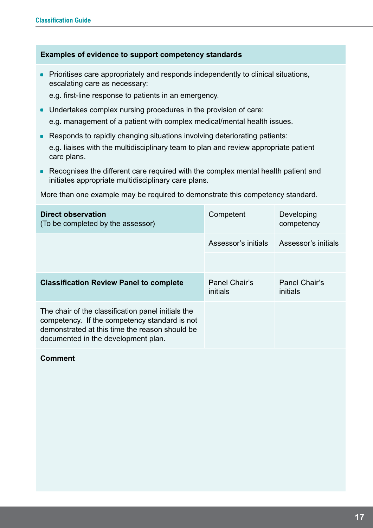#### **Examples of evidence to support competency standards**

• Prioritises care appropriately and responds independently to clinical situations, escalating care as necessary:

e.g. first-line response to patients in an emergency.

- Undertakes complex nursing procedures in the provision of care: e.g. management of a patient with complex medical/mental health issues.
- Responds to rapidly changing situations involving deteriorating patients:

e.g. liaises with the multidisciplinary team to plan and review appropriate patient care plans.

• Recognises the different care required with the complex mental health patient and initiates appropriate multidisciplinary care plans.

More than one example may be required to demonstrate this competency standard.

| <b>Direct observation</b><br>(To be completed by the assessor)                                                                                                                               | Competent                 | Developing<br>competency  |
|----------------------------------------------------------------------------------------------------------------------------------------------------------------------------------------------|---------------------------|---------------------------|
|                                                                                                                                                                                              | Assessor's initials       | Assessor's initials       |
|                                                                                                                                                                                              |                           |                           |
| <b>Classification Review Panel to complete</b>                                                                                                                                               | Panel Chair's<br>initials | Panel Chair's<br>initials |
| The chair of the classification panel initials the<br>competency. If the competency standard is not<br>demonstrated at this time the reason should be<br>documented in the development plan. |                           |                           |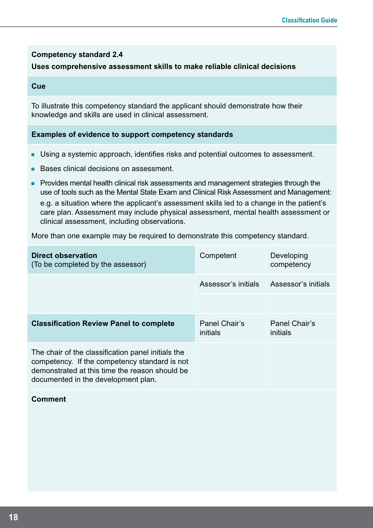#### **Competency standard 2.4**

#### **Uses comprehensive assessment skills to make reliable clinical decisions**

#### **Cue**

To illustrate this competency standard the applicant should demonstrate how their knowledge and skills are used in clinical assessment.

#### **Examples of evidence to support competency standards**

- Using a systemic approach, identifies risks and potential outcomes to assessment.
- Bases clinical decisions on assessment.
- **Provides mental health clinical risk assessments and management strategies through the** use of tools such as the Mental State Exam and Clinical Risk Assessment and Management:

e.g. a situation where the applicant's assessment skills led to a change in the patient's care plan. Assessment may include physical assessment, mental health assessment or clinical assessment, including observations.

More than one example may be required to demonstrate this competency standard.

| Direct observation<br>(To be completed by the assessor)                                                                                                                                      | Competent                 | Developing<br>competency  |
|----------------------------------------------------------------------------------------------------------------------------------------------------------------------------------------------|---------------------------|---------------------------|
|                                                                                                                                                                                              | Assessor's initials       | Assessor's initials       |
|                                                                                                                                                                                              |                           |                           |
| <b>Classification Review Panel to complete</b>                                                                                                                                               | Panel Chair's<br>initials | Panel Chair's<br>initials |
| The chair of the classification panel initials the<br>competency. If the competency standard is not<br>demonstrated at this time the reason should be<br>documented in the development plan. |                           |                           |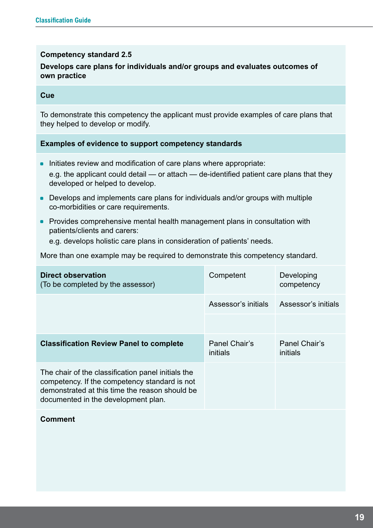#### **Competency standard 2.5**

#### **Develops care plans for individuals and/or groups and evaluates outcomes of own practice**

#### **Cue**

To demonstrate this competency the applicant must provide examples of care plans that they helped to develop or modify.

#### **Examples of evidence to support competency standards**

- Initiates review and modification of care plans where appropriate: e.g. the applicant could detail — or attach — de-identified patient care plans that they developed or helped to develop.
- Develops and implements care plans for individuals and/or groups with multiple co-morbidities or care requirements.
- Provides comprehensive mental health management plans in consultation with patients/clients and carers:

e.g. develops holistic care plans in consideration of patients' needs.

More than one example may be required to demonstrate this competency standard.

| Direct observation<br>(To be completed by the assessor)                                                                                                                                      | Competent                 | Developing<br>competency  |
|----------------------------------------------------------------------------------------------------------------------------------------------------------------------------------------------|---------------------------|---------------------------|
|                                                                                                                                                                                              | Assessor's initials       | Assessor's initials       |
|                                                                                                                                                                                              |                           |                           |
| <b>Classification Review Panel to complete</b>                                                                                                                                               | Panel Chair's<br>initials | Panel Chair's<br>initials |
| The chair of the classification panel initials the<br>competency. If the competency standard is not<br>demonstrated at this time the reason should be<br>documented in the development plan. |                           |                           |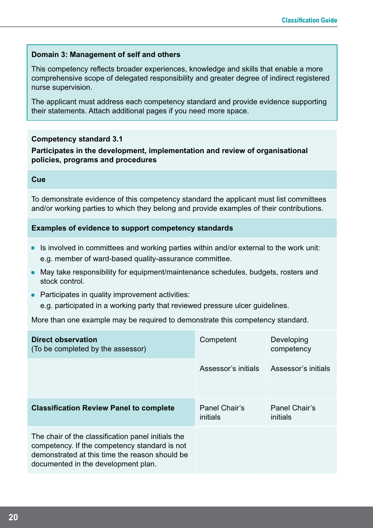#### **Domain 3: Management of self and others**

This competency reflects broader experiences, knowledge and skills that enable a more comprehensive scope of delegated responsibility and greater degree of indirect registered nurse supervision.

The applicant must address each competency standard and provide evidence supporting their statements. Attach additional pages if you need more space.

#### **Competency standard 3.1**

#### **Participates in the development, implementation and review of organisational policies, programs and procedures**

#### **Cue**

To demonstrate evidence of this competency standard the applicant must list committees and/or working parties to which they belong and provide examples of their contributions.

#### **Examples of evidence to support competency standards**

- Is involved in committees and working parties within and/or external to the work unit: e.g. member of ward-based quality-assurance committee.
- May take responsibility for equipment/maintenance schedules, budgets, rosters and stock control.
- Participates in quality improvement activities:
	- e.g. participated in a working party that reviewed pressure ulcer guidelines.

More than one example may be required to demonstrate this competency standard.

| Direct observation<br>(To be completed by the assessor)                                                                                                                                      | Competent                 | Developing<br>competency  |
|----------------------------------------------------------------------------------------------------------------------------------------------------------------------------------------------|---------------------------|---------------------------|
|                                                                                                                                                                                              | Assessor's initials       | Assessor's initials       |
|                                                                                                                                                                                              |                           |                           |
| <b>Classification Review Panel to complete</b>                                                                                                                                               | Panel Chair's<br>initials | Panel Chair's<br>initials |
| The chair of the classification panel initials the<br>competency. If the competency standard is not<br>demonstrated at this time the reason should be<br>documented in the development plan. |                           |                           |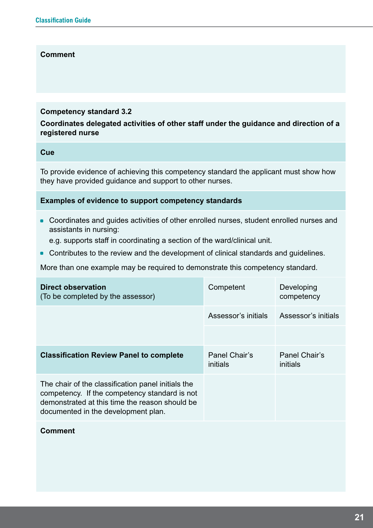#### **Comment**

#### **Competency standard 3.2**

**Coordinates delegated activities of other staff under the guidance and direction of a registered nurse**

#### **Cue**

To provide evidence of achieving this competency standard the applicant must show how they have provided guidance and support to other nurses.

#### **Examples of evidence to support competency standards**

- Coordinates and guides activities of other enrolled nurses, student enrolled nurses and assistants in nursing:
	- e.g. supports staff in coordinating a section of the ward/clinical unit.
- Contributes to the review and the development of clinical standards and guidelines.

More than one example may be required to demonstrate this competency standard.

| Direct observation<br>(To be completed by the assessor)                                                                                                                                      | Competent                 | Developing<br>competency  |
|----------------------------------------------------------------------------------------------------------------------------------------------------------------------------------------------|---------------------------|---------------------------|
|                                                                                                                                                                                              | Assessor's initials       | Assessor's initials       |
|                                                                                                                                                                                              |                           |                           |
| <b>Classification Review Panel to complete</b>                                                                                                                                               | Panel Chair's<br>initials | Panel Chair's<br>initials |
| The chair of the classification panel initials the<br>competency. If the competency standard is not<br>demonstrated at this time the reason should be<br>documented in the development plan. |                           |                           |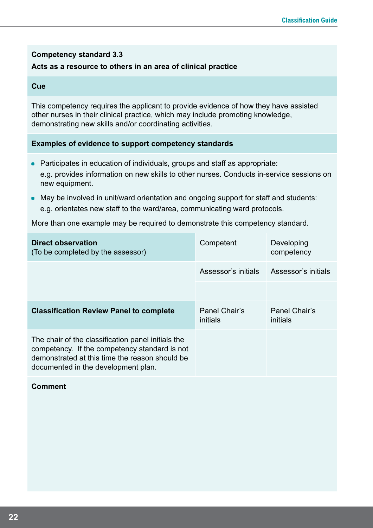#### **Competency standard 3.3**

#### **Acts as a resource to others in an area of clinical practice**

#### **Cue**

This competency requires the applicant to provide evidence of how they have assisted other nurses in their clinical practice, which may include promoting knowledge, demonstrating new skills and/or coordinating activities.

#### **Examples of evidence to support competency standards**

- Participates in education of individuals, groups and staff as appropriate: e.g. provides information on new skills to other nurses. Conducts in-service sessions on new equipment.
- May be involved in unit/ward orientation and ongoing support for staff and students: e.g. orientates new staff to the ward/area, communicating ward protocols.

More than one example may be required to demonstrate this competency standard.

| Direct observation<br>(To be completed by the assessor)                                                                                                                                      | Competent                 | Developing<br>competency  |
|----------------------------------------------------------------------------------------------------------------------------------------------------------------------------------------------|---------------------------|---------------------------|
|                                                                                                                                                                                              | Assessor's initials       | Assessor's initials       |
|                                                                                                                                                                                              |                           |                           |
| <b>Classification Review Panel to complete</b>                                                                                                                                               | Panel Chair's<br>initials | Panel Chair's<br>initials |
| The chair of the classification panel initials the<br>competency. If the competency standard is not<br>demonstrated at this time the reason should be<br>documented in the development plan. |                           |                           |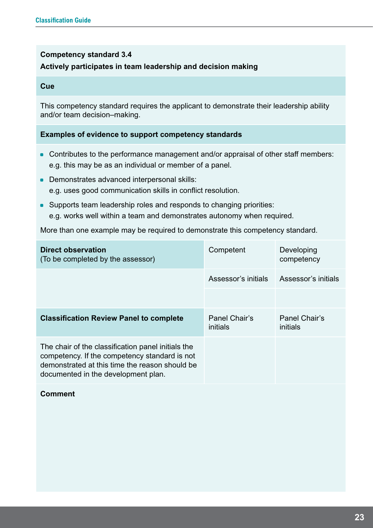#### **Competency standard 3.4**

#### **Actively participates in team leadership and decision making**

#### **Cue**

This competency standard requires the applicant to demonstrate their leadership ability and/or team decision–making.

#### **Examples of evidence to support competency standards**

- Contributes to the performance management and/or appraisal of other staff members: e.g. this may be as an individual or member of a panel.
- Demonstrates advanced interpersonal skills: e.g. uses good communication skills in conflict resolution.
- Supports team leadership roles and responds to changing priorities: e.g. works well within a team and demonstrates autonomy when required.

More than one example may be required to demonstrate this competency standard.

| Direct observation<br>(To be completed by the assessor)                                                                                                                                      | Competent                 | Developing<br>competency  |
|----------------------------------------------------------------------------------------------------------------------------------------------------------------------------------------------|---------------------------|---------------------------|
|                                                                                                                                                                                              | Assessor's initials       | Assessor's initials       |
|                                                                                                                                                                                              |                           |                           |
| <b>Classification Review Panel to complete</b>                                                                                                                                               | Panel Chair's<br>initials | Panel Chair's<br>initials |
| The chair of the classification panel initials the<br>competency. If the competency standard is not<br>demonstrated at this time the reason should be<br>documented in the development plan. |                           |                           |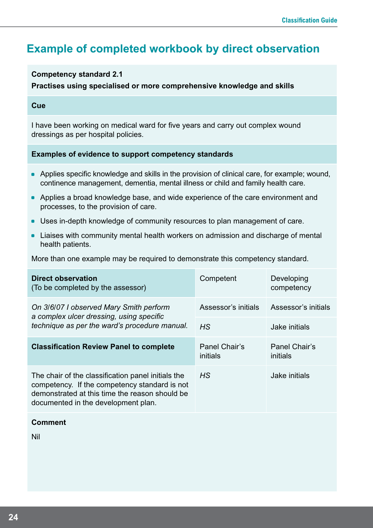### **Example of completed workbook by direct observation**

#### **Competency standard 2.1**

#### **Practises using specialised or more comprehensive knowledge and skills**

#### **Cue**

I have been working on medical ward for five years and carry out complex wound dressings as per hospital policies.

#### **Examples of evidence to support competency standards**

- Applies specific knowledge and skills in the provision of clinical care, for example; wound, continence management, dementia, mental illness or child and family health care.
- Applies a broad knowledge base, and wide experience of the care environment and processes, to the provision of care.
- Uses in-depth knowledge of community resources to plan management of care.
- Liaises with community mental health workers on admission and discharge of mental health patients.

More than one example may be required to demonstrate this competency standard.

| Direct observation<br>(To be completed by the assessor)                                                                                                                                      | Competent                 | Developing<br>competency  |
|----------------------------------------------------------------------------------------------------------------------------------------------------------------------------------------------|---------------------------|---------------------------|
| On 3/6/07 I observed Mary Smith perform<br>a complex ulcer dressing, using specific<br>technique as per the ward's procedure manual.                                                         | Assessor's initials       | Assessor's initials       |
|                                                                                                                                                                                              | HS                        | Jake initials             |
| <b>Classification Review Panel to complete</b>                                                                                                                                               | Panel Chair's<br>initials | Panel Chair's<br>initials |
| The chair of the classification panel initials the<br>competency. If the competency standard is not<br>demonstrated at this time the reason should be<br>documented in the development plan. | <b>HS</b>                 | Jake initials             |

#### **Comment**

Nil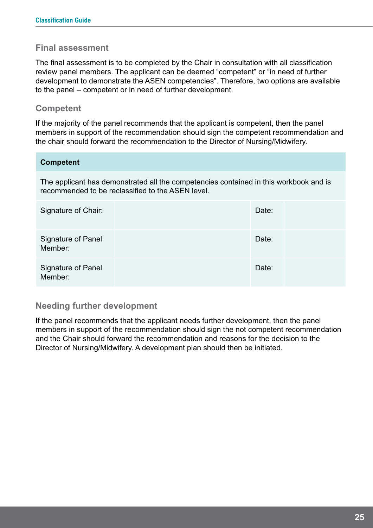#### **Final assessment**

The final assessment is to be completed by the Chair in consultation with all classification review panel members. The applicant can be deemed "competent" or "in need of further development to demonstrate the ASEN competencies". Therefore, two options are available to the panel – competent or in need of further development.

#### **Competent**

If the majority of the panel recommends that the applicant is competent, then the panel members in support of the recommendation should sign the competent recommendation and the chair should forward the recommendation to the Director of Nursing/Midwifery.

| <b>Competent</b>                                                                                                                           |  |       |  |
|--------------------------------------------------------------------------------------------------------------------------------------------|--|-------|--|
| The applicant has demonstrated all the competencies contained in this workbook and is<br>recommended to be reclassified to the ASEN level. |  |       |  |
| Signature of Chair:                                                                                                                        |  | Date: |  |
| <b>Signature of Panel</b><br>Member:                                                                                                       |  | Date: |  |
| Signature of Panel<br>Member:                                                                                                              |  | Date: |  |

#### **Needing further development**

If the panel recommends that the applicant needs further development, then the panel members in support of the recommendation should sign the not competent recommendation and the Chair should forward the recommendation and reasons for the decision to the Director of Nursing/Midwifery. A development plan should then be initiated.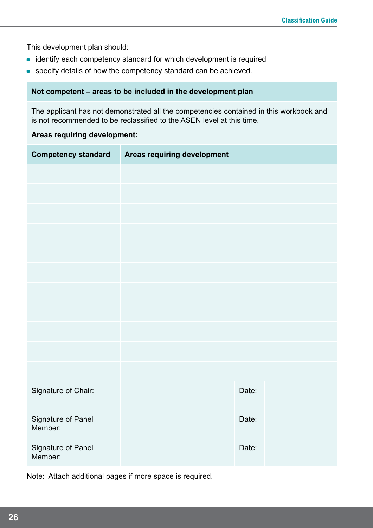This development plan should:

- identify each competency standard for which development is required
- **•** specify details of how the competency standard can be achieved.

#### **Not competent – areas to be included in the development plan**

The applicant has not demonstrated all the competencies contained in this workbook and is not recommended to be reclassified to the ASEN level at this time.

#### **Areas requiring development:**

| <b>Competency standard</b>    | Areas requiring development |       |  |
|-------------------------------|-----------------------------|-------|--|
|                               |                             |       |  |
|                               |                             |       |  |
|                               |                             |       |  |
|                               |                             |       |  |
|                               |                             |       |  |
|                               |                             |       |  |
|                               |                             |       |  |
|                               |                             |       |  |
|                               |                             |       |  |
|                               |                             |       |  |
|                               |                             |       |  |
| Signature of Chair:           |                             | Date: |  |
| Signature of Panel<br>Member: |                             | Date: |  |
| Signature of Panel<br>Member: |                             | Date: |  |

Note: Attach additional pages if more space is required.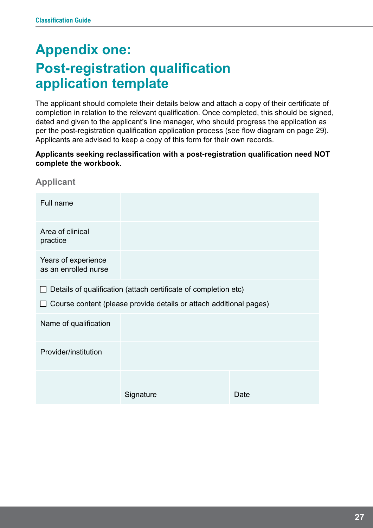# **Appendix one: Post-registration qualification application template**

The applicant should complete their details below and attach a copy of their certificate of completion in relation to the relevant qualification. Once completed, this should be signed, dated and given to the applicant's line manager, who should progress the application as per the post-registration qualification application process (see flow diagram on page 29). Applicants are advised to keep a copy of this form for their own records.

#### **Applicants seeking reclassification with a post-registration qualification need NOT complete the workbook.**

| Full name                                                                                                                                             |           |      |
|-------------------------------------------------------------------------------------------------------------------------------------------------------|-----------|------|
| Area of clinical<br>practice                                                                                                                          |           |      |
| Years of experience<br>as an enrolled nurse                                                                                                           |           |      |
| Details of qualification (attach certificate of completion etc)<br>$\mathbf{I}$<br>Course content (please provide details or attach additional pages) |           |      |
| Name of qualification                                                                                                                                 |           |      |
| Provider/institution                                                                                                                                  |           |      |
|                                                                                                                                                       | Signature | Date |

**Applicant**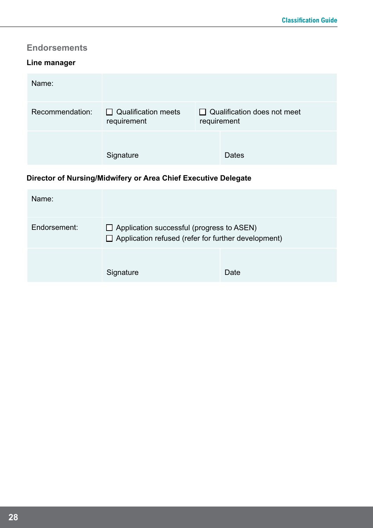#### **Endorsements**

#### **Line manager**

| Name:           |                                           |             |                                    |
|-----------------|-------------------------------------------|-------------|------------------------------------|
| Recommendation: | $\Box$ Qualification meets<br>requirement | requirement | $\Box$ Qualification does not meet |
|                 | Signature                                 |             | Dates                              |

#### **Director of Nursing/Midwifery or Area Chief Executive Delegate**

| Name:        |                                                                                                                |      |
|--------------|----------------------------------------------------------------------------------------------------------------|------|
| Endorsement: | $\Box$ Application successful (progress to ASEN)<br>$\Box$ Application refused (refer for further development) |      |
|              | Signature                                                                                                      | Date |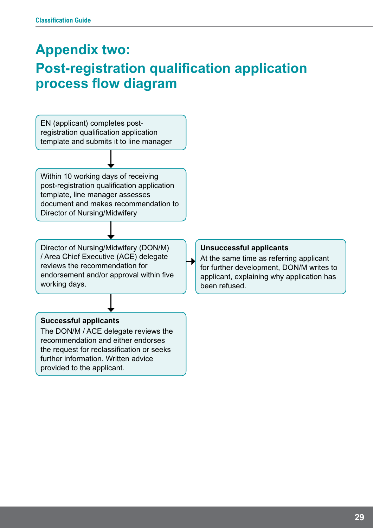# **Appendix two: Post-registration qualification application process flow diagram**

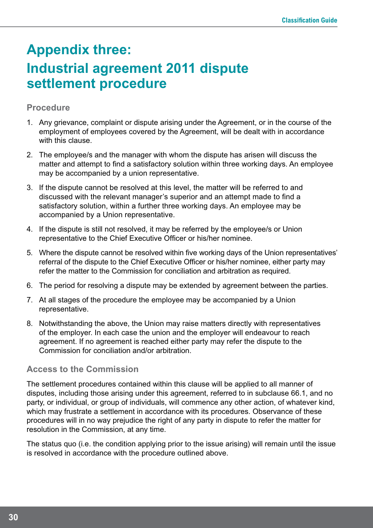# **Appendix three: Industrial agreement 2011 dispute settlement procedure**

#### **Procedure**

- 1. Any grievance, complaint or dispute arising under the Agreement, or in the course of the employment of employees covered by the Agreement, will be dealt with in accordance with this clause.
- 2. The employee/s and the manager with whom the dispute has arisen will discuss the matter and attempt to find a satisfactory solution within three working days. An employee may be accompanied by a union representative.
- 3. If the dispute cannot be resolved at this level, the matter will be referred to and discussed with the relevant manager's superior and an attempt made to find a satisfactory solution, within a further three working days. An employee may be accompanied by a Union representative.
- 4. If the dispute is still not resolved, it may be referred by the employee/s or Union representative to the Chief Executive Officer or his/her nominee.
- 5. Where the dispute cannot be resolved within five working days of the Union representatives' referral of the dispute to the Chief Executive Officer or his/her nominee, either party may refer the matter to the Commission for conciliation and arbitration as required.
- 6. The period for resolving a dispute may be extended by agreement between the parties.
- 7. At all stages of the procedure the employee may be accompanied by a Union representative.
- 8. Notwithstanding the above, the Union may raise matters directly with representatives of the employer. In each case the union and the employer will endeavour to reach agreement. If no agreement is reached either party may refer the dispute to the Commission for conciliation and/or arbitration.

#### **Access to the Commission**

The settlement procedures contained within this clause will be applied to all manner of disputes, including those arising under this agreement, referred to in subclause 66.1, and no party, or individual, or group of individuals, will commence any other action, of whatever kind, which may frustrate a settlement in accordance with its procedures. Observance of these procedures will in no way prejudice the right of any party in dispute to refer the matter for resolution in the Commission, at any time.

The status quo (i.e. the condition applying prior to the issue arising) will remain until the issue is resolved in accordance with the procedure outlined above.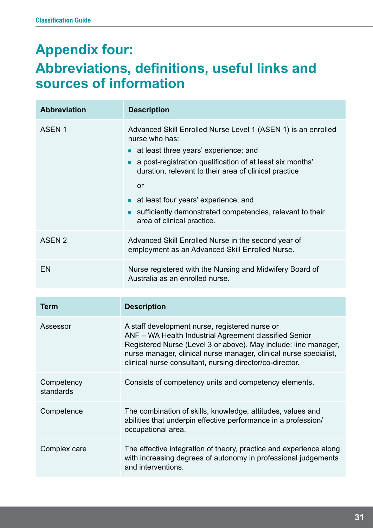# **Appendix four: Abbreviations, definitions, useful links and sources of information**

| <b>Abbreviation</b>     | <b>Description</b>                                                                                                                                                                                                                                                                                                                                                                                                         |
|-------------------------|----------------------------------------------------------------------------------------------------------------------------------------------------------------------------------------------------------------------------------------------------------------------------------------------------------------------------------------------------------------------------------------------------------------------------|
| ASEN <sub>1</sub>       | Advanced Skill Enrolled Nurse Level 1 (ASEN 1) is an enrolled<br>nurse who has:<br>• at least three years' experience; and<br>a post-registration qualification of at least six months'<br>$\bullet$<br>duration, relevant to their area of clinical practice<br><b>or</b><br>at least four years' experience; and<br>$\bullet$<br>sufficiently demonstrated competencies, relevant to their<br>area of clinical practice. |
| <b>ASEN 2</b>           | Advanced Skill Enrolled Nurse in the second year of<br>employment as an Advanced Skill Enrolled Nurse.                                                                                                                                                                                                                                                                                                                     |
| <b>EN</b>               | Nurse registered with the Nursing and Midwifery Board of<br>Australia as an enrolled nurse.                                                                                                                                                                                                                                                                                                                                |
|                         |                                                                                                                                                                                                                                                                                                                                                                                                                            |
| <b>Term</b>             | <b>Description</b>                                                                                                                                                                                                                                                                                                                                                                                                         |
| Assessor                | A staff development nurse, registered nurse or<br>ANF - WA Health Industrial Agreement classified Senior<br>Registered Nurse (Level 3 or above). May include: line manager,<br>nurse manager, clinical nurse manager, clinical nurse specialist,<br>clinical nurse consultant, nursing director/co-director.                                                                                                               |
| Competency<br>standards | Consists of competency units and competency elements.                                                                                                                                                                                                                                                                                                                                                                      |
| Competence              | The combination of skills, knowledge, attitudes, values and<br>abilities that underpin effective performance in a profession/<br>occupational area.                                                                                                                                                                                                                                                                        |
| Complex care            | The effective integration of theory, practice and experience along<br>with increasing degrees of autonomy in professional judgements<br>and interventions.                                                                                                                                                                                                                                                                 |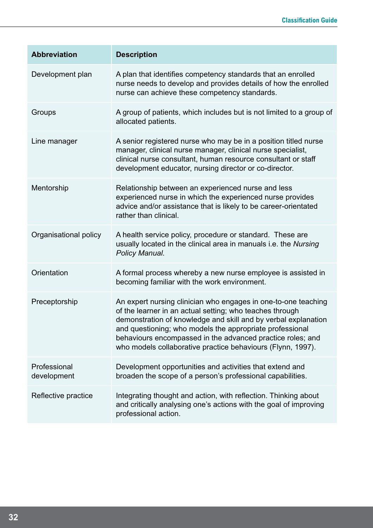| <b>Abbreviation</b>         | <b>Description</b>                                                                                                                                                                                                                                                                                                                                                                    |
|-----------------------------|---------------------------------------------------------------------------------------------------------------------------------------------------------------------------------------------------------------------------------------------------------------------------------------------------------------------------------------------------------------------------------------|
| Development plan            | A plan that identifies competency standards that an enrolled<br>nurse needs to develop and provides details of how the enrolled<br>nurse can achieve these competency standards.                                                                                                                                                                                                      |
| Groups                      | A group of patients, which includes but is not limited to a group of<br>allocated patients.                                                                                                                                                                                                                                                                                           |
| Line manager                | A senior registered nurse who may be in a position titled nurse<br>manager, clinical nurse manager, clinical nurse specialist,<br>clinical nurse consultant, human resource consultant or staff<br>development educator, nursing director or co-director.                                                                                                                             |
| Mentorship                  | Relationship between an experienced nurse and less<br>experienced nurse in which the experienced nurse provides<br>advice and/or assistance that is likely to be career-orientated<br>rather than clinical.                                                                                                                                                                           |
| Organisational policy       | A health service policy, procedure or standard. These are<br>usually located in the clinical area in manuals i.e. the Nursing<br>Policy Manual.                                                                                                                                                                                                                                       |
| Orientation                 | A formal process whereby a new nurse employee is assisted in<br>becoming familiar with the work environment.                                                                                                                                                                                                                                                                          |
| Preceptorship               | An expert nursing clinician who engages in one-to-one teaching<br>of the learner in an actual setting; who teaches through<br>demonstration of knowledge and skill and by verbal explanation<br>and questioning; who models the appropriate professional<br>behaviours encompassed in the advanced practice roles; and<br>who models collaborative practice behaviours (Flynn, 1997). |
| Professional<br>development | Development opportunities and activities that extend and<br>broaden the scope of a person's professional capabilities.                                                                                                                                                                                                                                                                |
| Reflective practice         | Integrating thought and action, with reflection. Thinking about<br>and critically analysing one's actions with the goal of improving<br>professional action.                                                                                                                                                                                                                          |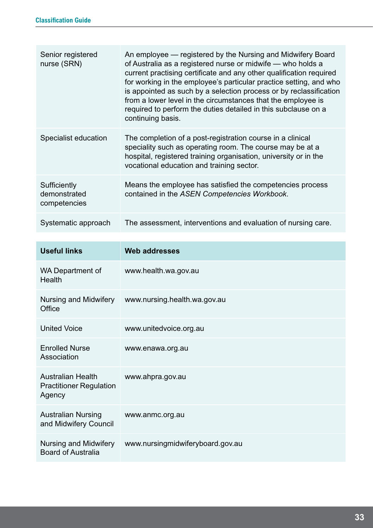| Senior registered<br>nurse (SRN)             | An employee — registered by the Nursing and Midwifery Board<br>of Australia as a registered nurse or midwife - who holds a<br>current practising certificate and any other qualification required<br>for working in the employee's particular practice setting, and who<br>is appointed as such by a selection process or by reclassification<br>from a lower level in the circumstances that the employee is<br>required to perform the duties detailed in this subclause on a<br>continuing basis. |
|----------------------------------------------|------------------------------------------------------------------------------------------------------------------------------------------------------------------------------------------------------------------------------------------------------------------------------------------------------------------------------------------------------------------------------------------------------------------------------------------------------------------------------------------------------|
| Specialist education                         | The completion of a post-registration course in a clinical<br>speciality such as operating room. The course may be at a<br>hospital, registered training organisation, university or in the<br>vocational education and training sector.                                                                                                                                                                                                                                                             |
| Sufficiently<br>demonstrated<br>competencies | Means the employee has satisfied the competencies process<br>contained in the ASEN Competencies Workbook.                                                                                                                                                                                                                                                                                                                                                                                            |
| Systematic approach                          | The assessment, interventions and evaluation of nursing care.                                                                                                                                                                                                                                                                                                                                                                                                                                        |
|                                              |                                                                                                                                                                                                                                                                                                                                                                                                                                                                                                      |

| <b>Useful links</b>                                                  | <b>Web addresses</b>             |
|----------------------------------------------------------------------|----------------------------------|
| <b>WA Department of</b><br>Health                                    | www.health.wa.gov.au             |
| Nursing and Midwifery<br>Office                                      | www.nursing.health.wa.gov.au     |
| <b>United Voice</b>                                                  | www.unitedvoice.org.au           |
| <b>Enrolled Nurse</b><br>Association                                 | www.enawa.org.au                 |
| <b>Australian Health</b><br><b>Practitioner Regulation</b><br>Agency | www.ahpra.gov.au                 |
| <b>Australian Nursing</b><br>and Midwifery Council                   | www.anmc.org.au                  |
| Nursing and Midwifery<br><b>Board of Australia</b>                   | www.nursingmidwiferyboard.gov.au |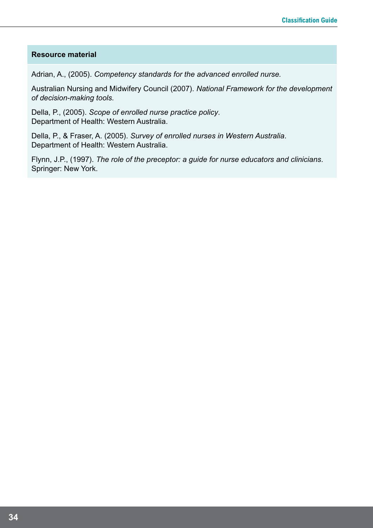#### **Resource material**

Adrian, A., (2005). *Competency standards for the advanced enrolled nurse.*

Australian Nursing and Midwifery Council (2007). *National Framework for the development of decision-making tools.*

Della, P., (2005). *Scope of enrolled nurse practice policy*. Department of Health: Western Australia.

Della, P., & Fraser, A. (2005). *Survey of enrolled nurses in Western Australia*. Department of Health: Western Australia.

Flynn, J.P., (1997). *The role of the preceptor: a guide for nurse educators and clinicians*. Springer: New York.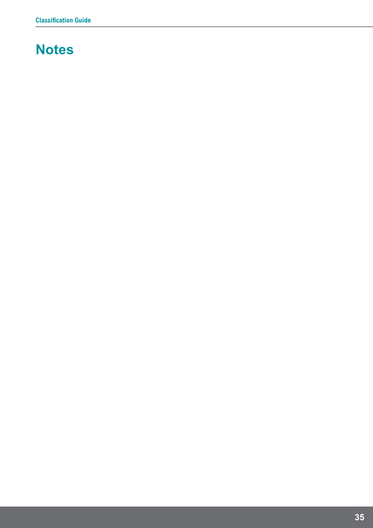# **Notes**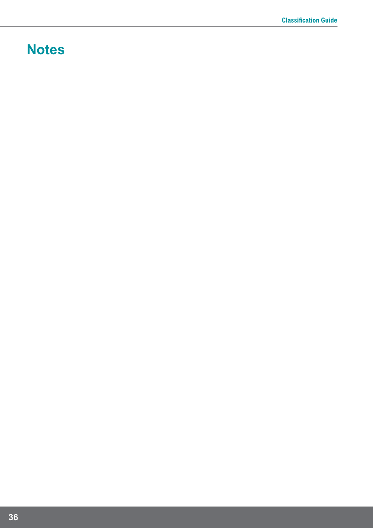# **Notes**